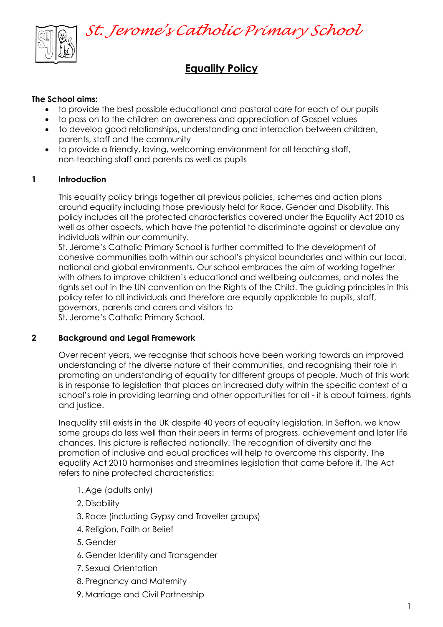

# **Equality Policy**

#### **The School aims:**

- to provide the best possible educational and pastoral care for each of our pupils
- to pass on to the children an awareness and appreciation of Gospel values
- to develop good relationships, understanding and interaction between children, parents, staff and the community
- to provide a friendly, loving, welcoming environment for all teaching staff, non-teaching staff and parents as well as pupils

#### **1 Introduction**

This equality policy brings together all previous policies, schemes and action plans around equality including those previously held for Race, Gender and Disability. This policy includes all the protected characteristics covered under the Equality Act 2010 as well as other aspects, which have the potential to discriminate against or devalue any individuals within our community.

St. Jerome's Catholic Primary School is further committed to the development of cohesive communities both within our school's physical boundaries and within our local, national and global environments. Our school embraces the aim of working together with others to improve children's educational and wellbeing outcomes, and notes the rights set out in the UN convention on the Rights of the Child. The guiding principles in this policy refer to all individuals and therefore are equally applicable to pupils, staff, governors, parents and carers and visitors to St. Jerome's Catholic Primary School.

#### **2 Background and Legal Framework**

Over recent years, we recognise that schools have been working towards an improved understanding of the diverse nature of their communities, and recognising their role in promoting an understanding of equality for different groups of people. Much of this work is in response to legislation that places an increased duty within the specific context of a school's role in providing learning and other opportunities for all - it is about fairness, rights and justice.

Inequality still exists in the UK despite 40 years of equality legislation. In Sefton, we know some groups do less well than their peers in terms of progress, achievement and later life chances. This picture is reflected nationally. The recognition of diversity and the promotion of inclusive and equal practices will help to overcome this disparity. The equality Act 2010 harmonises and streamlines legislation that came before it. The Act refers to nine protected characteristics:

- 1. Age (adults only)
- 2. Disability
- 3. Race (including Gypsy and Traveller groups)
- 4. Religion, Faith or Belief
- 5. Gender
- 6. Gender Identity and Transgender
- 7. Sexual Orientation
- 8. Pregnancy and Maternity
- 9. Marriage and Civil Partnership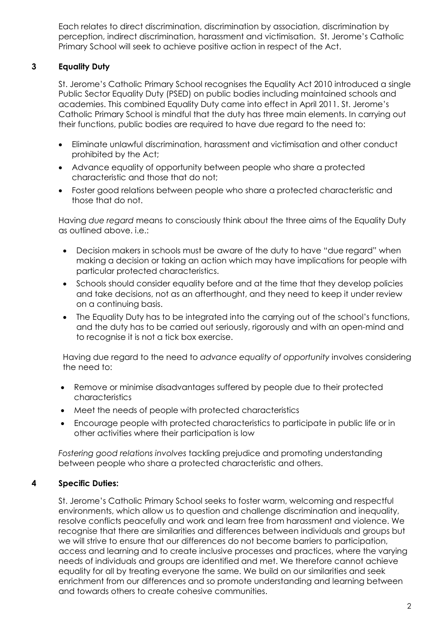Each relates to direct discrimination, discrimination by association, discrimination by perception, indirect discrimination, harassment and victimisation. St. Jerome's Catholic Primary School will seek to achieve positive action in respect of the Act.

# **3 Equality Duty**

St. Jerome's Catholic Primary School recognises the Equality Act 2010 introduced a single Public Sector Equality Duty (PSED) on public bodies including maintained schools and academies. This combined Equality Duty came into effect in April 2011. St. Jerome's Catholic Primary School is mindful that the duty has three main elements. In carrying out their functions, public bodies are required to have due regard to the need to:

- Eliminate unlawful discrimination, harassment and victimisation and other conduct prohibited by the Act;
- Advance equality of opportunity between people who share a protected characteristic and those that do not;
- Foster good relations between people who share a protected characteristic and those that do not.

Having *due regard* means to consciously think about the three aims of the Equality Duty as outlined above. i.e.:

- Decision makers in schools must be aware of the duty to have "due regard" when making a decision or taking an action which may have implications for people with particular protected characteristics.
- Schools should consider equality before and at the time that they develop policies and take decisions, not as an afterthought, and they need to keep it under review on a continuing basis.
- The Equality Duty has to be integrated into the carrying out of the school's functions, and the duty has to be carried out seriously, rigorously and with an open-mind and to recognise it is not a tick box exercise.

Having due regard to the need to *advance equality of opportunity* involves considering the need to:

- Remove or minimise disadvantages suffered by people due to their protected characteristics
- Meet the needs of people with protected characteristics
- Encourage people with protected characteristics to participate in public life or in other activities where their participation is low

*Fostering good relations involves* tackling prejudice and promoting understanding between people who share a protected characteristic and others.

# **4 Specific Duties:**

St. Jerome's Catholic Primary School seeks to foster warm, welcoming and respectful environments, which allow us to question and challenge discrimination and inequality, resolve conflicts peacefully and work and learn free from harassment and violence. We recognise that there are similarities and differences between individuals and groups but we will strive to ensure that our differences do not become barriers to participation, access and learning and to create inclusive processes and practices, where the varying needs of individuals and groups are identified and met. We therefore cannot achieve equality for all by treating everyone the same. We build on our similarities and seek enrichment from our differences and so promote understanding and learning between and towards others to create cohesive communities.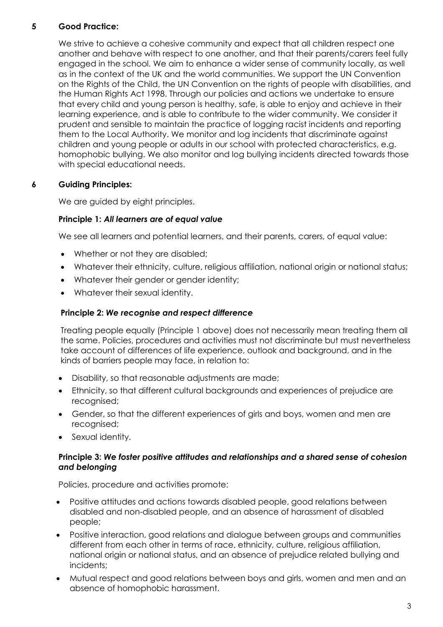# **5 Good Practice:**

We strive to achieve a cohesive community and expect that all children respect one another and behave with respect to one another, and that their parents/carers feel fully engaged in the school. We aim to enhance a wider sense of community locally, as well as in the context of the UK and the world communities. We support the UN Convention on the Rights of the Child, the UN Convention on the rights of people with disabilities, and the Human Rights Act 1998. Through our policies and actions we undertake to ensure that every child and young person is healthy, safe, is able to enjoy and achieve in their learning experience, and is able to contribute to the wider community. We consider it prudent and sensible to maintain the practice of logging racist incidents and reporting them to the Local Authority. We monitor and log incidents that discriminate against children and young people or adults in our school with protected characteristics, e.g. homophobic bullying. We also monitor and log bullying incidents directed towards those with special educational needs.

# **6 Guiding Principles:**

We are guided by eight principles.

### **Principle 1:** *All learners are of equal value*

We see all learners and potential learners, and their parents, carers, of equal value:

- Whether or not they are disabled;
- Whatever their ethnicity, culture, religious affiliation, national origin or national status;
- Whatever their gender or gender identity;
- Whatever their sexual identity.

### **Principle 2:** *We recognise and respect difference*

Treating people equally (Principle 1 above) does not necessarily mean treating them all the same. Policies, procedures and activities must not discriminate but must nevertheless take account of differences of life experience, outlook and background, and in the kinds of barriers people may face, in relation to:

- Disability, so that reasonable adjustments are made;
- Ethnicity, so that different cultural backgrounds and experiences of prejudice are recognised;
- Gender, so that the different experiences of girls and boys, women and men are recognised;
- Sexual identity.

#### **Principle 3:** *We foster positive attitudes and relationships and a shared sense of cohesion and belonging*

Policies, procedure and activities promote:

- Positive attitudes and actions towards disabled people, good relations between disabled and non-disabled people, and an absence of harassment of disabled people;
- Positive interaction, good relations and dialogue between groups and communities different from each other in terms of race, ethnicity, culture, religious affiliation, national origin or national status, and an absence of prejudice related bullying and incidents;
- Mutual respect and good relations between boys and girls, women and men and an absence of homophobic harassment.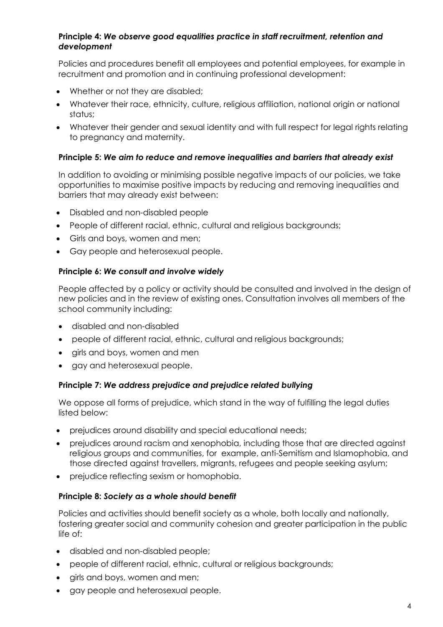#### **Principle 4:** *We observe good equalities practice in staff recruitment, retention and development*

Policies and procedures benefit all employees and potential employees, for example in recruitment and promotion and in continuing professional development:

- Whether or not they are disabled;
- Whatever their race, ethnicity, culture, religious affiliation, national origin or national status;
- Whatever their gender and sexual identity and with full respect for legal rights relating to pregnancy and maternity.

#### **Principle 5:** *We aim to reduce and remove inequalities and barriers that already exist*

In addition to avoiding or minimising possible negative impacts of our policies, we take opportunities to maximise positive impacts by reducing and removing inequalities and barriers that may already exist between:

- Disabled and non-disabled people
- People of different racial, ethnic, cultural and religious backgrounds;
- Girls and boys, women and men;
- Gay people and heterosexual people.

#### **Principle 6:** *We consult and involve widely*

People affected by a policy or activity should be consulted and involved in the design of new policies and in the review of existing ones. Consultation involves all members of the school community including:

- disabled and non-disabled
- people of different racial, ethnic, cultural and religious backgrounds;
- girls and boys, women and men
- gay and heterosexual people.

#### **Principle 7:** *We address prejudice and prejudice related bullying*

We oppose all forms of prejudice, which stand in the way of fulfilling the legal duties listed below:

- prejudices around disability and special educational needs;
- prejudices around racism and xenophobia, including those that are directed against religious groups and communities, for example, anti-Semitism and Islamophobia, and those directed against travellers, migrants, refugees and people seeking asylum;
- prejudice reflecting sexism or homophobia.

#### **Principle 8:** *Society as a whole should benefit*

Policies and activities should benefit society as a whole, both locally and nationally, fostering greater social and community cohesion and greater participation in the public life of:

- disabled and non-disabled people;
- people of different racial, ethnic, cultural or religious backgrounds;
- girls and boys, women and men;
- gay people and heterosexual people.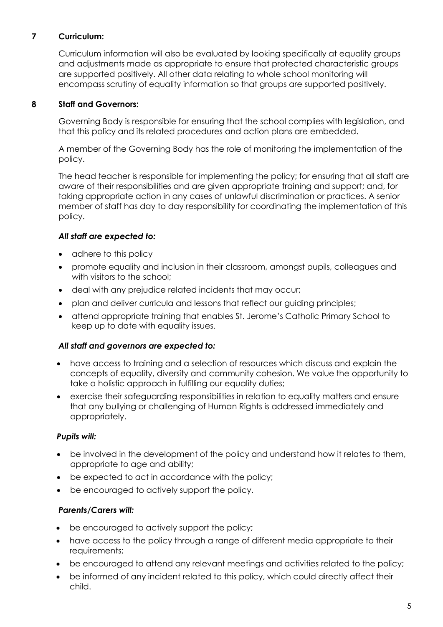# **7 Curriculum:**

Curriculum information will also be evaluated by looking specifically at equality groups and adjustments made as appropriate to ensure that protected characteristic groups are supported positively. All other data relating to whole school monitoring will encompass scrutiny of equality information so that groups are supported positively.

## **8 Staff and Governors:**

Governing Body is responsible for ensuring that the school complies with legislation, and that this policy and its related procedures and action plans are embedded.

A member of the Governing Body has the role of monitoring the implementation of the policy.

The head teacher is responsible for implementing the policy; for ensuring that all staff are aware of their responsibilities and are given appropriate training and support; and, for taking appropriate action in any cases of unlawful discrimination or practices. A senior member of staff has day to day responsibility for coordinating the implementation of this policy.

### *All staff are expected to:*

- adhere to this policy
- promote equality and inclusion in their classroom, amongst pupils, colleagues and with visitors to the school;
- deal with any prejudice related incidents that may occur;
- plan and deliver curricula and lessons that reflect our guiding principles;
- attend appropriate training that enables St. Jerome's Catholic Primary School to keep up to date with equality issues.

#### *All staff and governors are expected to:*

- have access to training and a selection of resources which discuss and explain the concepts of equality, diversity and community cohesion. We value the opportunity to take a holistic approach in fulfilling our equality duties;
- exercise their safeguarding responsibilities in relation to equality matters and ensure that any bullying or challenging of Human Rights is addressed immediately and appropriately.

# *Pupils will:*

- be involved in the development of the policy and understand how it relates to them, appropriate to age and ability;
- be expected to act in accordance with the policy;
- be encouraged to actively support the policy.

# *Parents/Carers will:*

- be encouraged to actively support the policy;
- have access to the policy through a range of different media appropriate to their requirements;
- be encouraged to attend any relevant meetings and activities related to the policy;
- be informed of any incident related to this policy, which could directly affect their child.